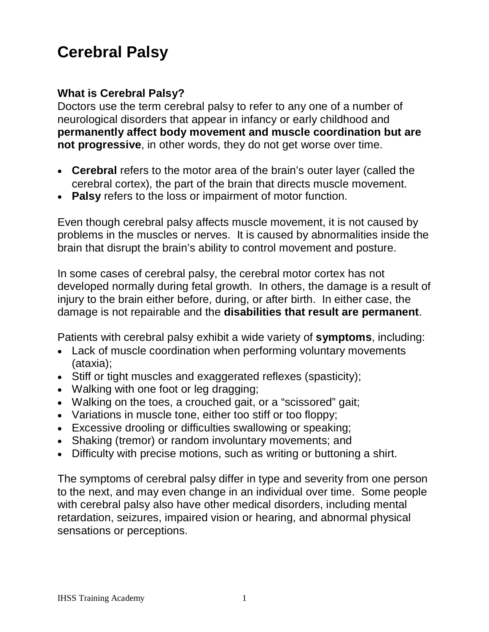# **Cerebral Palsy**

#### **What is Cerebral Palsy?**

Doctors use the term cerebral palsy to refer to any one of a number of neurological disorders that appear in infancy or early childhood and **permanently affect body movement and muscle coordination but are not progressive**, in other words, they do not get worse over time.

- **Cerebral** refers to the motor area of the brain's outer layer (called the cerebral cortex), the part of the brain that directs muscle movement.
- **Palsy** refers to the loss or impairment of motor function.

Even though cerebral palsy affects muscle movement, it is not caused by problems in the muscles or nerves. It is caused by abnormalities inside the brain that disrupt the brain's ability to control movement and posture.

In some cases of cerebral palsy, the cerebral motor cortex has not developed normally during fetal growth. In others, the damage is a result of injury to the brain either before, during, or after birth. In either case, the damage is not repairable and the **disabilities that result are permanent**.

Patients with cerebral palsy exhibit a wide variety of **symptoms**, including:

- Lack of muscle coordination when performing voluntary movements (ataxia);
- Stiff or tight muscles and exaggerated reflexes (spasticity);
- Walking with one foot or leg dragging;
- Walking on the toes, a crouched gait, or a "scissored" gait;
- Variations in muscle tone, either too stiff or too floppy;
- Excessive drooling or difficulties swallowing or speaking;
- Shaking (tremor) or random involuntary movements; and
- Difficulty with precise motions, such as writing or buttoning a shirt.

The symptoms of cerebral palsy differ in type and severity from one person to the next, and may even change in an individual over time. Some people with cerebral palsy also have other medical disorders, including mental retardation, seizures, impaired vision or hearing, and abnormal physical sensations or perceptions.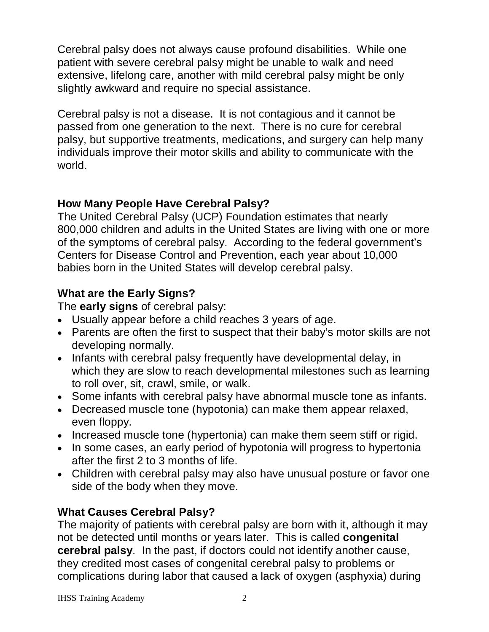Cerebral palsy does not always cause profound disabilities. While one patient with severe cerebral palsy might be unable to walk and need extensive, lifelong care, another with mild cerebral palsy might be only slightly awkward and require no special assistance.

Cerebral palsy is not a disease. It is not contagious and it cannot be passed from one generation to the next. There is no cure for cerebral palsy, but supportive treatments, medications, and surgery can help many individuals improve their motor skills and ability to communicate with the world.

#### **How Many People Have Cerebral Palsy?**

The United Cerebral Palsy (UCP) Foundation estimates that nearly 800,000 children and adults in the United States are living with one or more of the symptoms of cerebral palsy. According to the federal government's Centers for Disease Control and Prevention, each year about 10,000 babies born in the United States will develop cerebral palsy.

#### **What are the Early Signs?**

The **early signs** of cerebral palsy:

- Usually appear before a child reaches 3 years of age.
- Parents are often the first to suspect that their baby's motor skills are not developing normally.
- Infants with cerebral palsy frequently have developmental delay, in which they are slow to reach developmental milestones such as learning to roll over, sit, crawl, smile, or walk.
- Some infants with cerebral palsy have abnormal muscle tone as infants.
- Decreased muscle tone (hypotonia) can make them appear relaxed, even floppy.
- Increased muscle tone (hypertonia) can make them seem stiff or rigid.
- In some cases, an early period of hypotonia will progress to hypertonia after the first 2 to 3 months of life.
- Children with cerebral palsy may also have unusual posture or favor one side of the body when they move.

### **What Causes Cerebral Palsy?**

The majority of patients with cerebral palsy are born with it, although it may not be detected until months or years later. This is called **congenital cerebral palsy**. In the past, if doctors could not identify another cause, they credited most cases of congenital cerebral palsy to problems or complications during labor that caused a lack of oxygen (asphyxia) during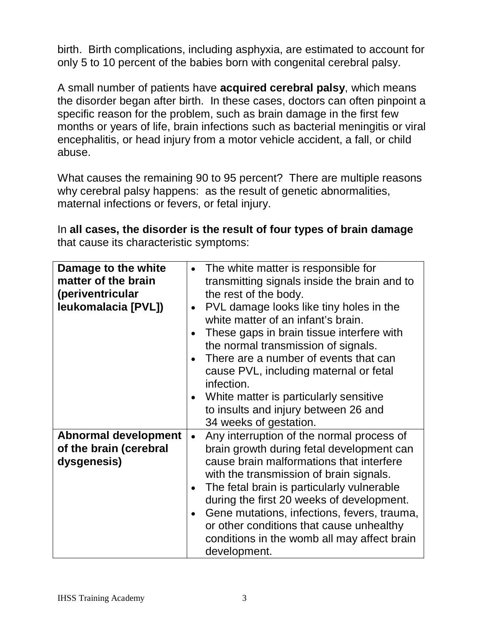birth. Birth complications, including asphyxia, are estimated to account for only 5 to 10 percent of the babies born with congenital cerebral palsy.

A small number of patients have **acquired cerebral palsy**, which means the disorder began after birth. In these cases, doctors can often pinpoint a specific reason for the problem, such as brain damage in the first few months or years of life, brain infections such as bacterial meningitis or viral encephalitis, or head injury from a motor vehicle accident, a fall, or child abuse.

What causes the remaining 90 to 95 percent? There are multiple reasons why cerebral palsy happens: as the result of genetic abnormalities, maternal infections or fevers, or fetal injury.

In **all cases, the disorder is the result of four types of brain damage** that cause its characteristic symptoms:

| Damage to the white<br>matter of the brain<br>(periventricular<br>leukomalacia [PVL]) | The white matter is responsible for<br>$\bullet$<br>transmitting signals inside the brain and to<br>the rest of the body.<br>PVL damage looks like tiny holes in the<br>$\bullet$<br>white matter of an infant's brain.<br>These gaps in brain tissue interfere with<br>the normal transmission of signals.<br>There are a number of events that can<br>cause PVL, including maternal or fetal<br>infection.<br>White matter is particularly sensitive<br>to insults and injury between 26 and<br>34 weeks of gestation. |
|---------------------------------------------------------------------------------------|--------------------------------------------------------------------------------------------------------------------------------------------------------------------------------------------------------------------------------------------------------------------------------------------------------------------------------------------------------------------------------------------------------------------------------------------------------------------------------------------------------------------------|
| <b>Abnormal development</b><br>of the brain (cerebral<br>dysgenesis)                  | Any interruption of the normal process of<br>$\bullet$<br>brain growth during fetal development can<br>cause brain malformations that interfere<br>with the transmission of brain signals.<br>The fetal brain is particularly vulnerable<br>during the first 20 weeks of development.<br>Gene mutations, infections, fevers, trauma,<br>$\bullet$<br>or other conditions that cause unhealthy<br>conditions in the womb all may affect brain<br>development.                                                             |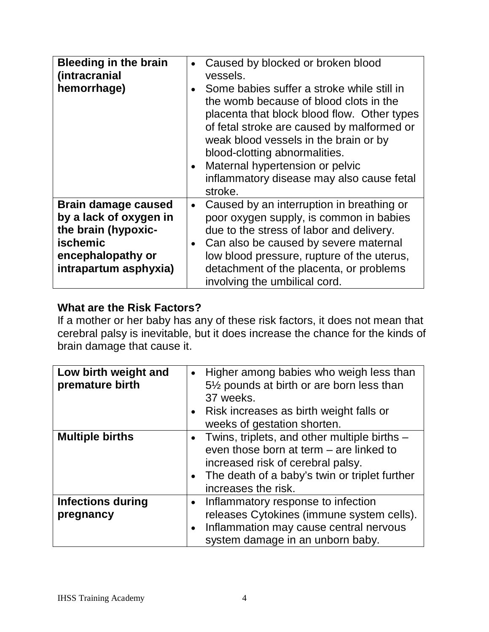| <b>Bleeding in the brain</b><br>(intracranial<br>hemorrhage)                                                                                 | Caused by blocked or broken blood<br>$\bullet$<br>vessels.<br>Some babies suffer a stroke while still in<br>the womb because of blood clots in the<br>placenta that block blood flow. Other types<br>of fetal stroke are caused by malformed or<br>weak blood vessels in the brain or by<br>blood-clotting abnormalities.     |
|----------------------------------------------------------------------------------------------------------------------------------------------|-------------------------------------------------------------------------------------------------------------------------------------------------------------------------------------------------------------------------------------------------------------------------------------------------------------------------------|
|                                                                                                                                              | Maternal hypertension or pelvic<br>$\bullet$<br>inflammatory disease may also cause fetal<br>stroke.                                                                                                                                                                                                                          |
| <b>Brain damage caused</b><br>by a lack of oxygen in<br>the brain (hypoxic-<br><b>ischemic</b><br>encephalopathy or<br>intrapartum asphyxia) | Caused by an interruption in breathing or<br>$\bullet$<br>poor oxygen supply, is common in babies<br>due to the stress of labor and delivery.<br>Can also be caused by severe maternal<br>$\bullet$<br>low blood pressure, rupture of the uterus,<br>detachment of the placenta, or problems<br>involving the umbilical cord. |

#### **What are the Risk Factors?**

If a mother or her baby has any of these risk factors, it does not mean that cerebral palsy is inevitable, but it does increase the chance for the kinds of brain damage that cause it.

| Low birth weight and<br>premature birth | Higher among babies who weigh less than<br>$\bullet$<br>51/2 pounds at birth or are born less than<br>37 weeks.<br>• Risk increases as birth weight falls or<br>weeks of gestation shorten.              |
|-----------------------------------------|----------------------------------------------------------------------------------------------------------------------------------------------------------------------------------------------------------|
| <b>Multiple births</b>                  | • Twins, triplets, and other multiple births -<br>even those born at term – are linked to<br>increased risk of cerebral palsy.<br>• The death of a baby's twin or triplet further<br>increases the risk. |
| <b>Infections during</b><br>pregnancy   | Inflammatory response to infection<br>releases Cytokines (immune system cells).<br>Inflammation may cause central nervous<br>$\bullet$<br>system damage in an unborn baby.                               |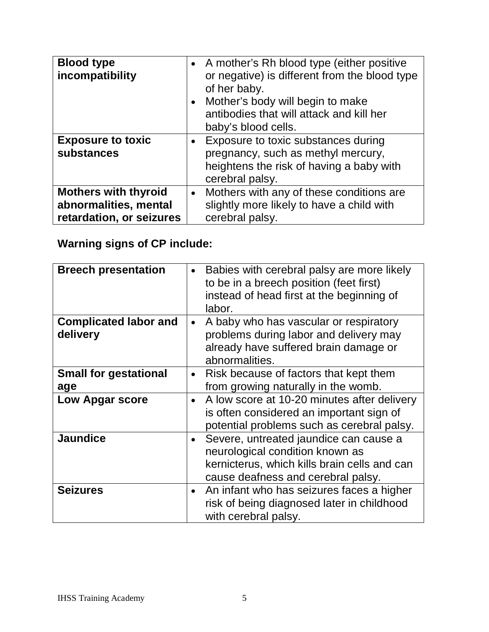| <b>Blood type</b><br>incompatibility                                             | • A mother's Rh blood type (either positive<br>or negative) is different from the blood type<br>of her baby.<br>Mother's body will begin to make<br>$\bullet$<br>antibodies that will attack and kill her<br>baby's blood cells. |
|----------------------------------------------------------------------------------|----------------------------------------------------------------------------------------------------------------------------------------------------------------------------------------------------------------------------------|
| <b>Exposure to toxic</b><br>substances                                           | Exposure to toxic substances during<br>pregnancy, such as methyl mercury,<br>heightens the risk of having a baby with<br>cerebral palsy.                                                                                         |
| <b>Mothers with thyroid</b><br>abnormalities, mental<br>retardation, or seizures | Mothers with any of these conditions are<br>$\bullet$<br>slightly more likely to have a child with<br>cerebral palsy.                                                                                                            |

# **Warning signs of CP include:**

| <b>Breech presentation</b>               | Babies with cerebral palsy are more likely<br>$\bullet$<br>to be in a breech position (feet first)<br>instead of head first at the beginning of<br>labor.                    |
|------------------------------------------|------------------------------------------------------------------------------------------------------------------------------------------------------------------------------|
| <b>Complicated labor and</b><br>delivery | A baby who has vascular or respiratory<br>$\bullet$<br>problems during labor and delivery may<br>already have suffered brain damage or<br>abnormalities.                     |
| <b>Small for gestational</b><br>age      | Risk because of factors that kept them<br>$\bullet$<br>from growing naturally in the womb.                                                                                   |
| Low Apgar score                          | A low score at 10-20 minutes after delivery<br>$\bullet$<br>is often considered an important sign of<br>potential problems such as cerebral palsy.                           |
| <b>Jaundice</b>                          | Severe, untreated jaundice can cause a<br>$\bullet$<br>neurological condition known as<br>kernicterus, which kills brain cells and can<br>cause deafness and cerebral palsy. |
| <b>Seizures</b>                          | An infant who has seizures faces a higher<br>risk of being diagnosed later in childhood<br>with cerebral palsy.                                                              |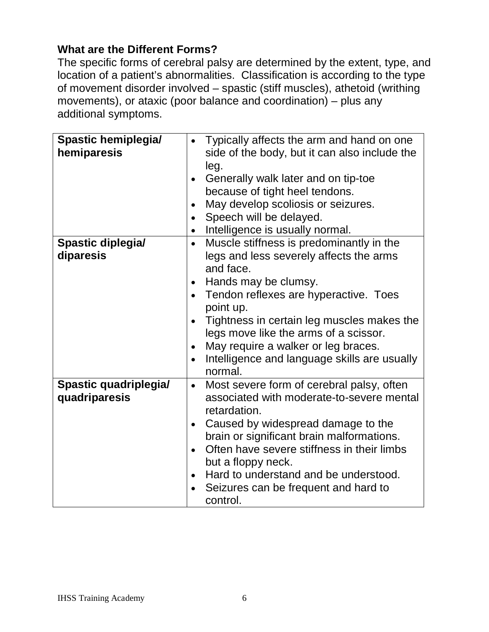#### **What are the Different Forms?**

The specific forms of cerebral palsy are determined by the extent, type, and location of a patient's abnormalities. Classification is according to the type of movement disorder involved – spastic (stiff muscles), athetoid (writhing movements), or ataxic (poor balance and coordination) – plus any additional symptoms.

| Spastic hemiplegia/<br>hemiparesis     | Typically affects the arm and hand on one<br>side of the body, but it can also include the<br>leg.<br>Generally walk later and on tip-toe<br>$\bullet$<br>because of tight heel tendons.<br>May develop scoliosis or seizures.<br>$\bullet$<br>Speech will be delayed.<br>$\bullet$<br>Intelligence is usually normal.<br>$\bullet$                                                                                                      |
|----------------------------------------|------------------------------------------------------------------------------------------------------------------------------------------------------------------------------------------------------------------------------------------------------------------------------------------------------------------------------------------------------------------------------------------------------------------------------------------|
| Spastic diplegia/<br>diparesis         | Muscle stiffness is predominantly in the<br>$\bullet$<br>legs and less severely affects the arms<br>and face.<br>Hands may be clumsy.<br>$\bullet$<br>Tendon reflexes are hyperactive. Toes<br>$\bullet$<br>point up.<br>Tightness in certain leg muscles makes the<br>$\bullet$<br>legs move like the arms of a scissor.<br>May require a walker or leg braces.<br>Intelligence and language skills are usually<br>$\bullet$<br>normal. |
| Spastic quadriplegia/<br>quadriparesis | Most severe form of cerebral palsy, often<br>$\bullet$<br>associated with moderate-to-severe mental<br>retardation.<br>Caused by widespread damage to the<br>$\bullet$<br>brain or significant brain malformations.<br>Often have severe stiffness in their limbs<br>$\bullet$<br>but a floppy neck.<br>Hard to understand and be understood.<br>$\bullet$<br>Seizures can be frequent and hard to<br>control.                           |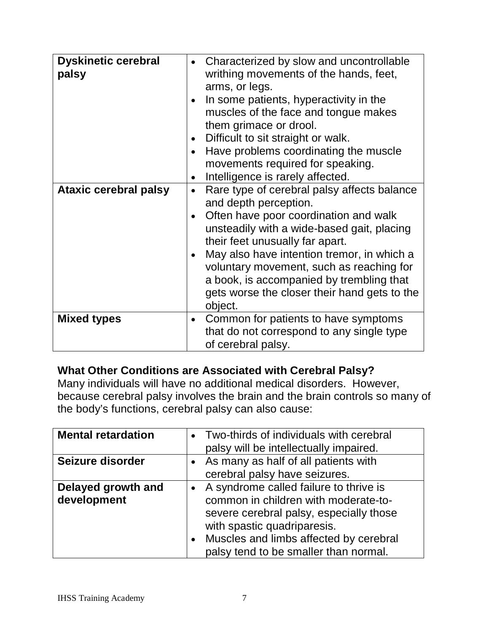| <b>Dyskinetic cerebral</b><br>palsy | Characterized by slow and uncontrollable<br>$\bullet$<br>writhing movements of the hands, feet,<br>arms, or legs.<br>In some patients, hyperactivity in the<br>$\bullet$<br>muscles of the face and tongue makes<br>them grimace or drool.<br>Difficult to sit straight or walk.<br>$\bullet$<br>Have problems coordinating the muscle<br>$\bullet$<br>movements required for speaking.<br>Intelligence is rarely affected.            |
|-------------------------------------|----------------------------------------------------------------------------------------------------------------------------------------------------------------------------------------------------------------------------------------------------------------------------------------------------------------------------------------------------------------------------------------------------------------------------------------|
| <b>Ataxic cerebral palsy</b>        | Rare type of cerebral palsy affects balance<br>$\bullet$<br>and depth perception.<br>Often have poor coordination and walk<br>$\bullet$<br>unsteadily with a wide-based gait, placing<br>their feet unusually far apart.<br>May also have intention tremor, in which a<br>$\bullet$<br>voluntary movement, such as reaching for<br>a book, is accompanied by trembling that<br>gets worse the closer their hand gets to the<br>object. |
| <b>Mixed types</b>                  | Common for patients to have symptoms<br>$\bullet$<br>that do not correspond to any single type<br>of cerebral palsy.                                                                                                                                                                                                                                                                                                                   |

#### **What Other Conditions are Associated with Cerebral Palsy?**

Many individuals will have no additional medical disorders. However, because cerebral palsy involves the brain and the brain controls so many of the body's functions, cerebral palsy can also cause:

| <b>Mental retardation</b>         | • Two-thirds of individuals with cerebral<br>palsy will be intellectually impaired.                                                                                                                |
|-----------------------------------|----------------------------------------------------------------------------------------------------------------------------------------------------------------------------------------------------|
| Seizure disorder                  | As many as half of all patients with<br>cerebral palsy have seizures.                                                                                                                              |
| Delayed growth and<br>development | A syndrome called failure to thrive is<br>common in children with moderate-to-<br>severe cerebral palsy, especially those<br>with spastic quadriparesis.<br>Muscles and limbs affected by cerebral |
|                                   | palsy tend to be smaller than normal.                                                                                                                                                              |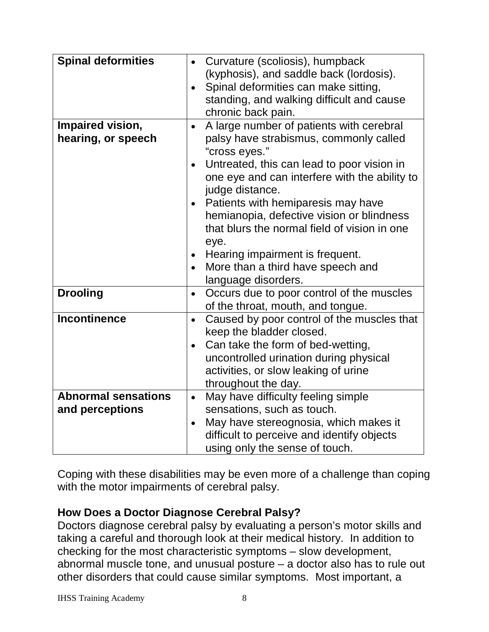| <b>Spinal deformities</b>                     | Curvature (scoliosis), humpback<br>$\bullet$<br>(kyphosis), and saddle back (lordosis).<br>Spinal deformities can make sitting,<br>$\bullet$<br>standing, and walking difficult and cause<br>chronic back pain.                                                                                                                                                                                                                                       |
|-----------------------------------------------|-------------------------------------------------------------------------------------------------------------------------------------------------------------------------------------------------------------------------------------------------------------------------------------------------------------------------------------------------------------------------------------------------------------------------------------------------------|
| Impaired vision,<br>hearing, or speech        | A large number of patients with cerebral<br>$\bullet$<br>palsy have strabismus, commonly called<br>"cross eyes."<br>Untreated, this can lead to poor vision in<br>one eye and can interfere with the ability to<br>judge distance.<br>Patients with hemiparesis may have<br>hemianopia, defective vision or blindness<br>that blurs the normal field of vision in one<br>eye.<br>Hearing impairment is frequent.<br>More than a third have speech and |
| <b>Drooling</b>                               | language disorders.<br>Occurs due to poor control of the muscles<br>$\bullet$                                                                                                                                                                                                                                                                                                                                                                         |
| <b>Incontinence</b>                           | of the throat, mouth, and tongue.<br>Caused by poor control of the muscles that<br>$\bullet$                                                                                                                                                                                                                                                                                                                                                          |
|                                               | keep the bladder closed.<br>Can take the form of bed-wetting,<br>$\bullet$<br>uncontrolled urination during physical<br>activities, or slow leaking of urine<br>throughout the day.                                                                                                                                                                                                                                                                   |
| <b>Abnormal sensations</b><br>and perceptions | May have difficulty feeling simple<br>$\bullet$<br>sensations, such as touch.<br>May have stereognosia, which makes it<br>$\bullet$<br>difficult to perceive and identify objects<br>using only the sense of touch.                                                                                                                                                                                                                                   |

Coping with these disabilities may be even more of a challenge than coping with the motor impairments of cerebral palsy.

#### **How Does a Doctor Diagnose Cerebral Palsy?**

Doctors diagnose cerebral palsy by evaluating a person's motor skills and taking a careful and thorough look at their medical history. In addition to checking for the most characteristic symptoms – slow development, abnormal muscle tone, and unusual posture – a doctor also has to rule out other disorders that could cause similar symptoms. Most important, a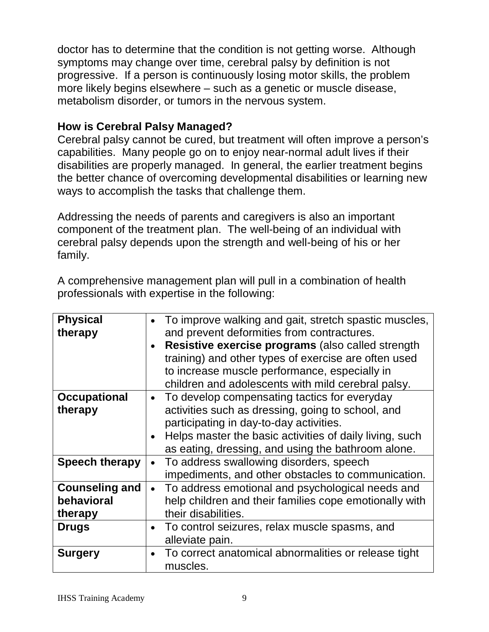doctor has to determine that the condition is not getting worse. Although symptoms may change over time, cerebral palsy by definition is not progressive. If a person is continuously losing motor skills, the problem more likely begins elsewhere – such as a genetic or muscle disease, metabolism disorder, or tumors in the nervous system.

#### **How is Cerebral Palsy Managed?**

Cerebral palsy cannot be cured, but treatment will often improve a person's capabilities. Many people go on to enjoy near-normal adult lives if their disabilities are properly managed. In general, the earlier treatment begins the better chance of overcoming developmental disabilities or learning new ways to accomplish the tasks that challenge them.

Addressing the needs of parents and caregivers is also an important component of the treatment plan. The well-being of an individual with cerebral palsy depends upon the strength and well-being of his or her family.

A comprehensive management plan will pull in a combination of health professionals with expertise in the following:

| <b>Physical</b><br>therapy                     | To improve walking and gait, stretch spastic muscles,<br>$\bullet$<br>and prevent deformities from contractures.<br>Resistive exercise programs (also called strength<br>training) and other types of exercise are often used<br>to increase muscle performance, especially in<br>children and adolescents with mild cerebral palsy. |
|------------------------------------------------|--------------------------------------------------------------------------------------------------------------------------------------------------------------------------------------------------------------------------------------------------------------------------------------------------------------------------------------|
| <b>Occupational</b><br>therapy                 | To develop compensating tactics for everyday<br>$\bullet$<br>activities such as dressing, going to school, and<br>participating in day-to-day activities.<br>Helps master the basic activities of daily living, such<br>$\bullet$<br>as eating, dressing, and using the bathroom alone.                                              |
| <b>Speech therapy</b>                          | To address swallowing disorders, speech<br>impediments, and other obstacles to communication.                                                                                                                                                                                                                                        |
| <b>Counseling and</b><br>behavioral<br>therapy | To address emotional and psychological needs and<br>$\bullet$<br>help children and their families cope emotionally with<br>their disabilities.                                                                                                                                                                                       |
| <b>Drugs</b>                                   | To control seizures, relax muscle spasms, and<br>$\bullet$<br>alleviate pain.                                                                                                                                                                                                                                                        |
| <b>Surgery</b>                                 | To correct anatomical abnormalities or release tight<br>muscles.                                                                                                                                                                                                                                                                     |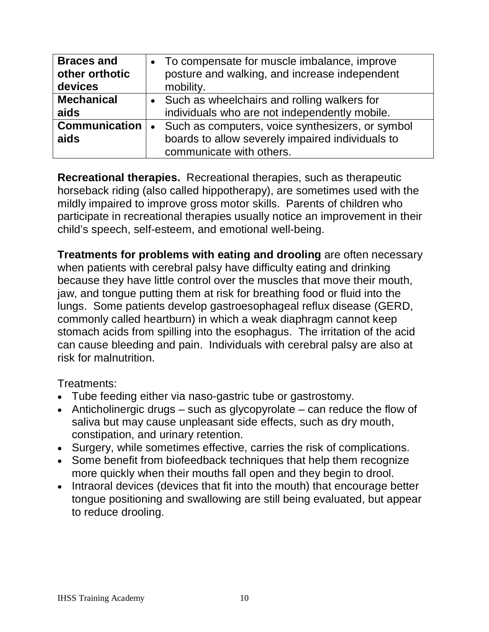| <b>Braces and</b><br>other orthotic<br>devices | • To compensate for muscle imbalance, improve<br>posture and walking, and increase independent<br>mobility. |
|------------------------------------------------|-------------------------------------------------------------------------------------------------------------|
| <b>Mechanical</b>                              | • Such as wheelchairs and rolling walkers for                                                               |
| aids                                           | individuals who are not independently mobile.                                                               |
| Communication                                  | • Such as computers, voice synthesizers, or symbol                                                          |
| aids                                           | boards to allow severely impaired individuals to                                                            |
|                                                | communicate with others.                                                                                    |

**Recreational therapies.** Recreational therapies, such as therapeutic horseback riding (also called hippotherapy), are sometimes used with the mildly impaired to improve gross motor skills. Parents of children who participate in recreational therapies usually notice an improvement in their child's speech, self-esteem, and emotional well-being.

**Treatments for problems with eating and drooling** are often necessary when patients with cerebral palsy have difficulty eating and drinking because they have little control over the muscles that move their mouth, jaw, and tongue putting them at risk for breathing food or fluid into the lungs. Some patients develop gastroesophageal reflux disease (GERD, commonly called heartburn) in which a weak diaphragm cannot keep stomach acids from spilling into the esophagus. The irritation of the acid can cause bleeding and pain. Individuals with cerebral palsy are also at risk for malnutrition.

Treatments:

- Tube feeding either via naso-gastric tube or gastrostomy.
- Anticholinergic drugs  $-$  such as glycopyrolate  $-$  can reduce the flow of saliva but may cause unpleasant side effects, such as dry mouth, constipation, and urinary retention.
- Surgery, while sometimes effective, carries the risk of complications.
- Some benefit from biofeedback techniques that help them recognize more quickly when their mouths fall open and they begin to drool.
- Intraoral devices (devices that fit into the mouth) that encourage better tongue positioning and swallowing are still being evaluated, but appear to reduce drooling.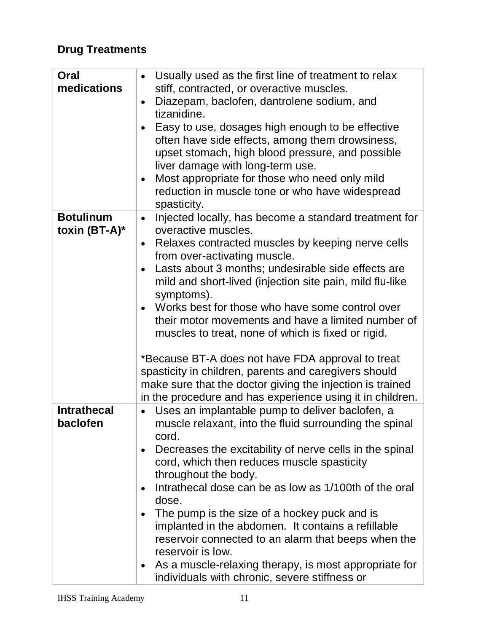## **Drug Treatments**

| Oral               | Usually used as the first line of treatment to relax<br>$\bullet$  |
|--------------------|--------------------------------------------------------------------|
| medications        | stiff, contracted, or overactive muscles.                          |
|                    | Diazepam, baclofen, dantrolene sodium, and<br>$\bullet$            |
|                    | tizanidine.                                                        |
|                    | Easy to use, dosages high enough to be effective                   |
|                    | often have side effects, among them drowsiness,                    |
|                    | upset stomach, high blood pressure, and possible                   |
|                    | liver damage with long-term use.                                   |
|                    | Most appropriate for those who need only mild                      |
|                    | reduction in muscle tone or who have widespread                    |
|                    | spasticity.                                                        |
| <b>Botulinum</b>   | Injected locally, has become a standard treatment for<br>$\bullet$ |
| toxin (BT-A)*      | overactive muscles.                                                |
|                    | Relaxes contracted muscles by keeping nerve cells<br>$\bullet$     |
|                    | from over-activating muscle.                                       |
|                    | Lasts about 3 months; undesirable side effects are                 |
|                    | mild and short-lived (injection site pain, mild flu-like           |
|                    | symptoms).                                                         |
|                    | Works best for those who have some control over                    |
|                    | their motor movements and have a limited number of                 |
|                    | muscles to treat, none of which is fixed or rigid.                 |
|                    |                                                                    |
|                    | *Because BT-A does not have FDA approval to treat                  |
|                    | spasticity in children, parents and caregivers should              |
|                    | make sure that the doctor giving the injection is trained          |
|                    | in the procedure and has experience using it in children.          |
| <b>Intrathecal</b> | Uses an implantable pump to deliver baclofen, a<br>$\bullet$       |
| baclofen           | muscle relaxant, into the fluid surrounding the spinal             |
|                    | cord.                                                              |
|                    | Decreases the excitability of nerve cells in the spinal            |
|                    | cord, which then reduces muscle spasticity                         |
|                    | throughout the body.                                               |
|                    | Intrathecal dose can be as low as 1/100th of the oral              |
|                    | dose.                                                              |
|                    | The pump is the size of a hockey puck and is                       |
|                    | implanted in the abdomen. It contains a refillable                 |
|                    | reservoir connected to an alarm that beeps when the                |
|                    | reservoir is low.                                                  |
|                    | As a muscle-relaxing therapy, is most appropriate for              |
|                    | individuals with chronic, severe stiffness or                      |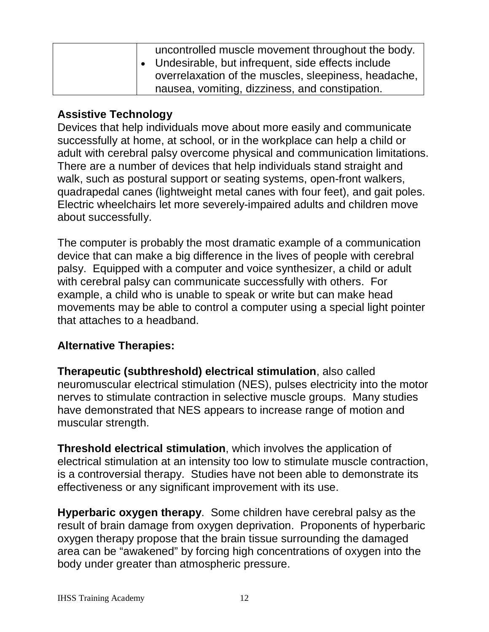| uncontrolled muscle movement throughout the body.<br>• Undesirable, but infrequent, side effects include |
|----------------------------------------------------------------------------------------------------------|
| overrelaxation of the muscles, sleepiness, headache,<br>nausea, vomiting, dizziness, and constipation.   |

#### **Assistive Technology**

Devices that help individuals move about more easily and communicate successfully at home, at school, or in the workplace can help a child or adult with cerebral palsy overcome physical and communication limitations. There are a number of devices that help individuals stand straight and walk, such as postural support or seating systems, open-front walkers, quadrapedal canes (lightweight metal canes with four feet), and gait poles. Electric wheelchairs let more severely-impaired adults and children move about successfully.

The computer is probably the most dramatic example of a communication device that can make a big difference in the lives of people with cerebral palsy. Equipped with a computer and voice synthesizer, a child or adult with cerebral palsy can communicate successfully with others. For example, a child who is unable to speak or write but can make head movements may be able to control a computer using a special light pointer that attaches to a headband.

#### **Alternative Therapies:**

**Therapeutic (subthreshold) electrical stimulation**, also called neuromuscular electrical stimulation (NES), pulses electricity into the motor nerves to stimulate contraction in selective muscle groups. Many studies have demonstrated that NES appears to increase range of motion and muscular strength.

**Threshold electrical stimulation**, which involves the application of electrical stimulation at an intensity too low to stimulate muscle contraction, is a controversial therapy. Studies have not been able to demonstrate its effectiveness or any significant improvement with its use.

**Hyperbaric oxygen therapy**. Some children have cerebral palsy as the result of brain damage from oxygen deprivation. Proponents of hyperbaric oxygen therapy propose that the brain tissue surrounding the damaged area can be "awakened" by forcing high concentrations of oxygen into the body under greater than atmospheric pressure.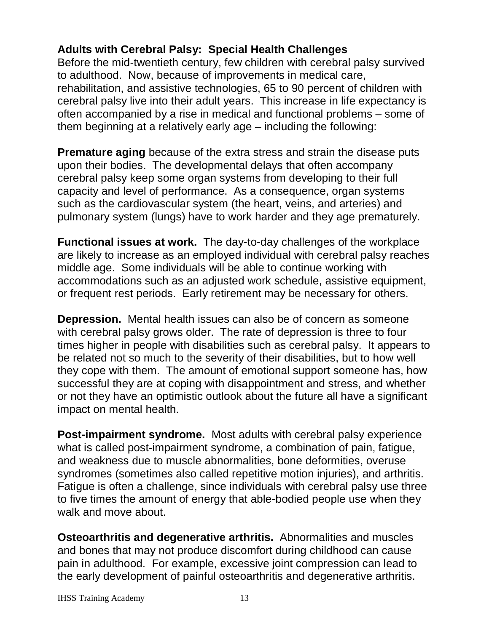### **Adults with Cerebral Palsy: Special Health Challenges**

Before the mid-twentieth century, few children with cerebral palsy survived to adulthood. Now, because of improvements in medical care, rehabilitation, and assistive technologies, 65 to 90 percent of children with cerebral palsy live into their adult years. This increase in life expectancy is often accompanied by a rise in medical and functional problems – some of them beginning at a relatively early age – including the following:

**Premature aging** because of the extra stress and strain the disease puts upon their bodies. The developmental delays that often accompany cerebral palsy keep some organ systems from developing to their full capacity and level of performance. As a consequence, organ systems such as the cardiovascular system (the heart, veins, and arteries) and pulmonary system (lungs) have to work harder and they age prematurely.

**Functional issues at work.** The day-to-day challenges of the workplace are likely to increase as an employed individual with cerebral palsy reaches middle age. Some individuals will be able to continue working with accommodations such as an adjusted work schedule, assistive equipment, or frequent rest periods. Early retirement may be necessary for others.

**Depression.** Mental health issues can also be of concern as someone with cerebral palsy grows older. The rate of depression is three to four times higher in people with disabilities such as cerebral palsy. It appears to be related not so much to the severity of their disabilities, but to how well they cope with them. The amount of emotional support someone has, how successful they are at coping with disappointment and stress, and whether or not they have an optimistic outlook about the future all have a significant impact on mental health.

**Post-impairment syndrome.** Most adults with cerebral palsy experience what is called post-impairment syndrome, a combination of pain, fatigue, and weakness due to muscle abnormalities, bone deformities, overuse syndromes (sometimes also called repetitive motion injuries), and arthritis. Fatigue is often a challenge, since individuals with cerebral palsy use three to five times the amount of energy that able-bodied people use when they walk and move about.

**Osteoarthritis and degenerative arthritis.** Abnormalities and muscles and bones that may not produce discomfort during childhood can cause pain in adulthood. For example, excessive joint compression can lead to the early development of painful osteoarthritis and degenerative arthritis.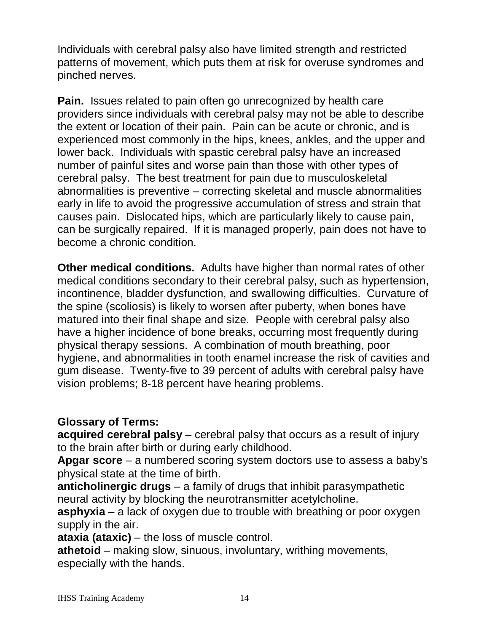Individuals with cerebral palsy also have limited strength and restricted patterns of movement, which puts them at risk for overuse syndromes and pinched nerves.

**Pain.** Issues related to pain often go unrecognized by health care providers since individuals with cerebral palsy may not be able to describe the extent or location of their pain. Pain can be acute or chronic, and is experienced most commonly in the hips, knees, ankles, and the upper and lower back. Individuals with spastic cerebral palsy have an increased number of painful sites and worse pain than those with other types of cerebral palsy. The best treatment for pain due to musculoskeletal abnormalities is preventive – correcting skeletal and muscle abnormalities early in life to avoid the progressive accumulation of stress and strain that causes pain. Dislocated hips, which are particularly likely to cause pain, can be surgically repaired. If it is managed properly, pain does not have to become a chronic condition.

**Other medical conditions.** Adults have higher than normal rates of other medical conditions secondary to their cerebral palsy, such as hypertension, incontinence, bladder dysfunction, and swallowing difficulties. Curvature of the spine (scoliosis) is likely to worsen after puberty, when bones have matured into their final shape and size. People with cerebral palsy also have a higher incidence of bone breaks, occurring most frequently during physical therapy sessions. A combination of mouth breathing, poor hygiene, and abnormalities in tooth enamel increase the risk of cavities and gum disease. Twenty-five to 39 percent of adults with cerebral palsy have vision problems; 8-18 percent have hearing problems.

#### **Glossary of Terms:**

**acquired cerebral palsy** – cerebral palsy that occurs as a result of injury to the brain after birth or during early childhood.

**Apgar score** – a numbered scoring system doctors use to assess a baby's physical state at the time of birth.

**anticholinergic drugs** – a family of drugs that inhibit parasympathetic neural activity by blocking the neurotransmitter acetylcholine.

**asphyxia** – a lack of oxygen due to trouble with breathing or poor oxygen supply in the air.

**ataxia (ataxic)** – the loss of muscle control.

**athetoid** – making slow, sinuous, involuntary, writhing movements, especially with the hands.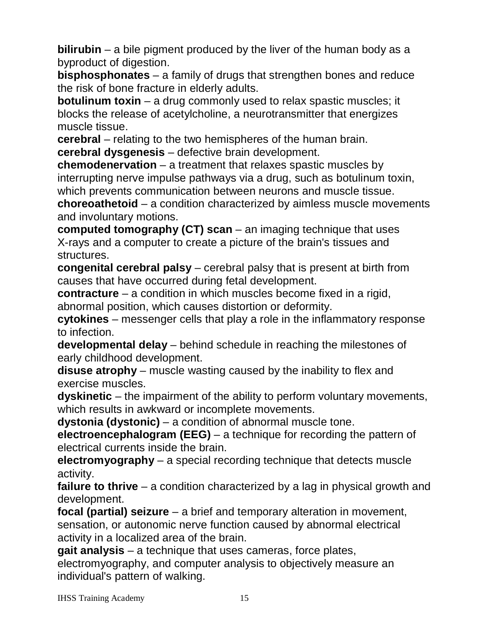**bilirubin** – a bile pigment produced by the liver of the human body as a byproduct of digestion.

**bisphosphonates** – a family of drugs that strengthen bones and reduce the risk of bone fracture in elderly adults.

**botulinum toxin** – a drug commonly used to relax spastic muscles; it blocks the release of acetylcholine, a neurotransmitter that energizes muscle tissue.

**cerebral** – relating to the two hemispheres of the human brain. **cerebral dysgenesis** – defective brain development.

**chemodenervation** – a treatment that relaxes spastic muscles by interrupting nerve impulse pathways via a drug, such as botulinum toxin, which prevents communication between neurons and muscle tissue.

**choreoathetoid** – a condition characterized by aimless muscle movements and involuntary motions.

**computed tomography (CT) scan** – an imaging technique that uses X-rays and a computer to create a picture of the brain's tissues and structures.

**congenital cerebral palsy** – cerebral palsy that is present at birth from causes that have occurred during fetal development.

**contracture** – a condition in which muscles become fixed in a rigid, abnormal position, which causes distortion or deformity.

**cytokines** – messenger cells that play a role in the inflammatory response to infection.

**developmental delay** – behind schedule in reaching the milestones of early childhood development.

**disuse atrophy** – muscle wasting caused by the inability to flex and exercise muscles.

**dyskinetic** – the impairment of the ability to perform voluntary movements, which results in awkward or incomplete movements.

**dystonia (dystonic)** – a condition of abnormal muscle tone.

**electroencephalogram (EEG)** – a technique for recording the pattern of electrical currents inside the brain.

**electromyography** – a special recording technique that detects muscle activity.

**failure to thrive** – a condition characterized by a lag in physical growth and development.

**focal (partial) seizure** – a brief and temporary alteration in movement, sensation, or autonomic nerve function caused by abnormal electrical activity in a localized area of the brain.

**gait analysis** – a technique that uses cameras, force plates, electromyography, and computer analysis to objectively measure an individual's pattern of walking.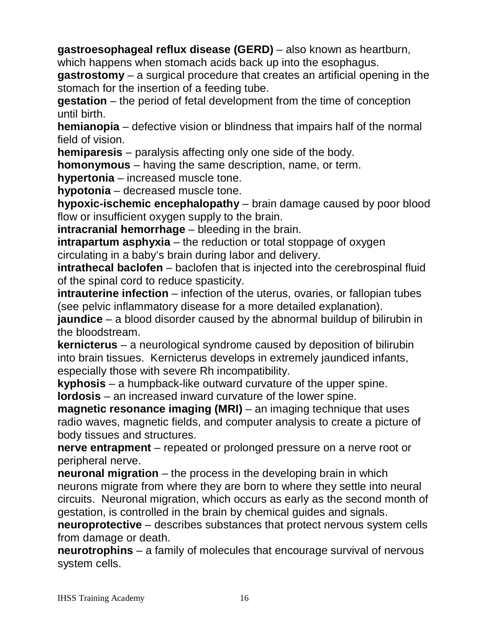**gastroesophageal reflux disease (GERD)** – also known as heartburn,

which happens when stomach acids back up into the esophagus.

**gastrostomy** – a surgical procedure that creates an artificial opening in the stomach for the insertion of a feeding tube.

**gestation** – the period of fetal development from the time of conception until birth.

**hemianopia** – defective vision or blindness that impairs half of the normal field of vision.

**hemiparesis** – paralysis affecting only one side of the body.

**homonymous** – having the same description, name, or term.

**hypertonia** – increased muscle tone.

**hypotonia** – decreased muscle tone.

**hypoxic-ischemic encephalopathy** – brain damage caused by poor blood flow or insufficient oxygen supply to the brain.

**intracranial hemorrhage** – bleeding in the brain.

**intrapartum asphyxia** – the reduction or total stoppage of oxygen circulating in a baby's brain during labor and delivery.

**intrathecal baclofen** – baclofen that is injected into the cerebrospinal fluid of the spinal cord to reduce spasticity.

**intrauterine infection** – infection of the uterus, ovaries, or fallopian tubes (see pelvic inflammatory disease for a more detailed explanation).

**jaundice** – a blood disorder caused by the abnormal buildup of bilirubin in the bloodstream.

**kernicterus** – a neurological syndrome caused by deposition of bilirubin into brain tissues. Kernicterus develops in extremely jaundiced infants, especially those with severe Rh incompatibility.

**kyphosis** – a humpback-like outward curvature of the upper spine. **lordosis** – an increased inward curvature of the lower spine.

**magnetic resonance imaging (MRI)** – an imaging technique that uses radio waves, magnetic fields, and computer analysis to create a picture of body tissues and structures.

**nerve entrapment** – repeated or prolonged pressure on a nerve root or peripheral nerve.

**neuronal migration** – the process in the developing brain in which neurons migrate from where they are born to where they settle into neural circuits. Neuronal migration, which occurs as early as the second month of gestation, is controlled in the brain by chemical guides and signals.

**neuroprotective** – describes substances that protect nervous system cells from damage or death.

**neurotrophins** – a family of molecules that encourage survival of nervous system cells.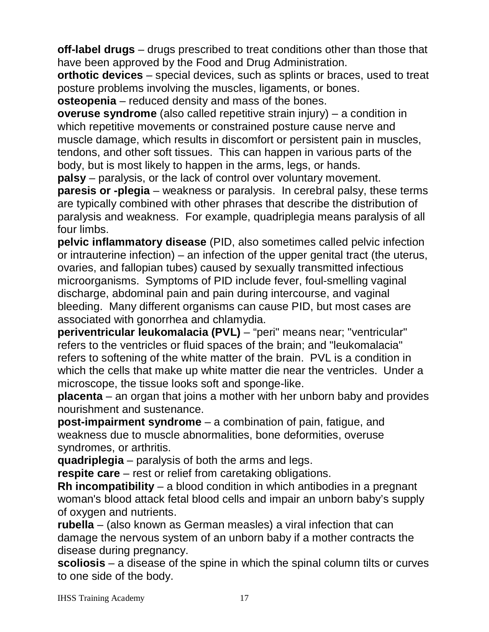**off-label drugs** – drugs prescribed to treat conditions other than those that have been approved by the Food and Drug Administration.

**orthotic devices** – special devices, such as splints or braces, used to treat posture problems involving the muscles, ligaments, or bones.

**osteopenia** – reduced density and mass of the bones.

**overuse syndrome** (also called repetitive strain injury) – a condition in which repetitive movements or constrained posture cause nerve and muscle damage, which results in discomfort or persistent pain in muscles, tendons, and other soft tissues. This can happen in various parts of the body, but is most likely to happen in the arms, legs, or hands.

**palsy** – paralysis, or the lack of control over voluntary movement.

**paresis or -plegia** – weakness or paralysis. In cerebral palsy, these terms are typically combined with other phrases that describe the distribution of paralysis and weakness. For example, quadriplegia means paralysis of all four limbs.

**pelvic inflammatory disease** (PID, also sometimes called pelvic infection or intrauterine infection) – an infection of the upper genital tract (the uterus, ovaries, and fallopian tubes) caused by sexually transmitted infectious microorganisms. Symptoms of PID include fever, foul-smelling vaginal discharge, abdominal pain and pain during intercourse, and vaginal bleeding. Many different organisms can cause PID, but most cases are associated with gonorrhea and chlamydia.

**periventricular leukomalacia (PVL)** – "peri" means near; "ventricular" refers to the ventricles or fluid spaces of the brain; and "leukomalacia" refers to softening of the white matter of the brain. PVL is a condition in which the cells that make up white matter die near the ventricles. Under a microscope, the tissue looks soft and sponge-like.

**placenta** – an organ that joins a mother with her unborn baby and provides nourishment and sustenance.

**post-impairment syndrome** – a combination of pain, fatigue, and weakness due to muscle abnormalities, bone deformities, overuse syndromes, or arthritis.

**quadriplegia** – paralysis of both the arms and legs.

**respite care** – rest or relief from caretaking obligations.

**Rh incompatibility** – a blood condition in which antibodies in a pregnant woman's blood attack fetal blood cells and impair an unborn baby's supply of oxygen and nutrients.

**rubella** – (also known as German measles) a viral infection that can damage the nervous system of an unborn baby if a mother contracts the disease during pregnancy.

**scoliosis** – a disease of the spine in which the spinal column tilts or curves to one side of the body.